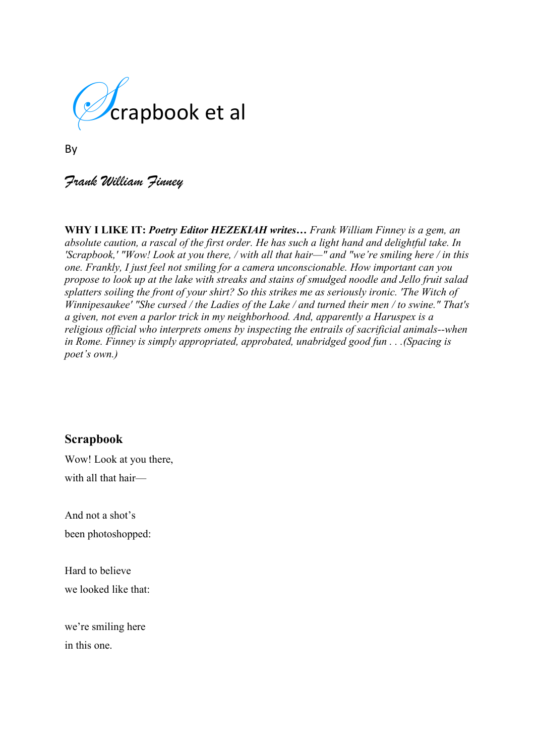

By

# *Frank William Finney*

**WHY I LIKE IT:** *Poetry Editor HEZEKIAH writes… Frank William Finney is a gem, an absolute caution, a rascal of the first order. He has such a light hand and delightful take. In 'Scrapbook,' "Wow! Look at you there, / with all that hair—" and "we're smiling here / in this one. Frankly, I just feel not smiling for a camera unconscionable. How important can you propose to look up at the lake with streaks and stains of smudged noodle and Jello fruit salad splatters soiling the front of your shirt? So this strikes me as seriously ironic. 'The Witch of Winnipesaukee' "She cursed / the Ladies of the Lake / and turned their men / to swine." That's a given, not even a parlor trick in my neighborhood. And, apparently a Haruspex is a religious official who interprets omens by inspecting the entrails of sacrificial animals--when in Rome. Finney is simply appropriated, approbated, unabridged good fun . . .(Spacing is poet's own.)*

### **Scrapbook**

Wow! Look at you there, with all that hair—

And not a shot's been photoshopped:

Hard to believe we looked like that:

we're smiling here in this one.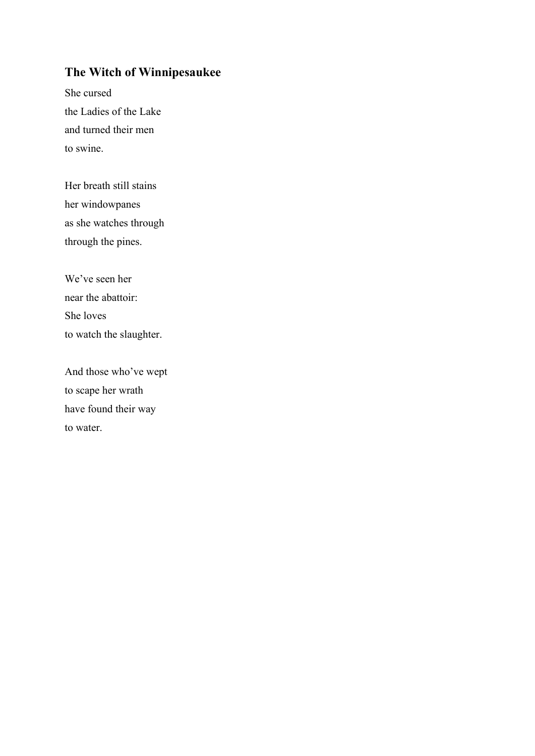# **The Witch of Winnipesaukee**

She cursed the Ladies of the Lake and turned their men to swine.

Her breath still stains her windowpanes as she watches through through the pines.

We've seen her near the abattoir: She loves to watch the slaughter.

And those who've wept to scape her wrath have found their way to water.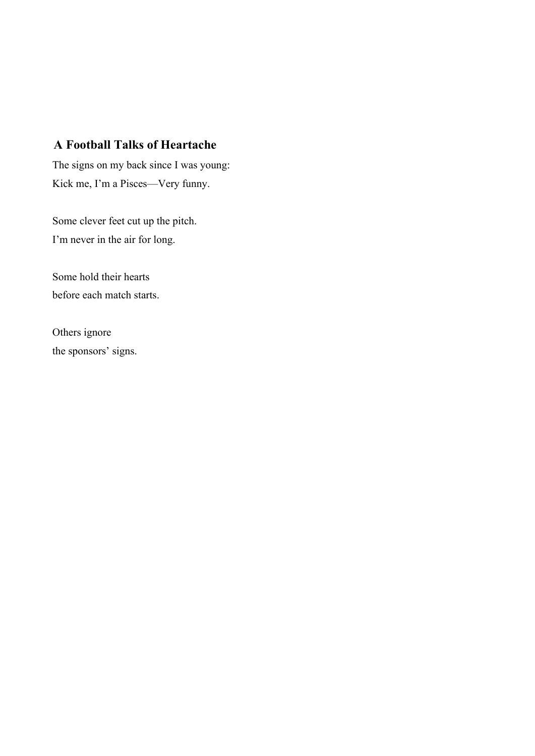## **A Football Talks of Heartache**

The signs on my back since I was young: Kick me, I'm a Pisces—Very funny.

Some clever feet cut up the pitch. I'm never in the air for long.

Some hold their hearts before each match starts.

Others ignore the sponsors' signs.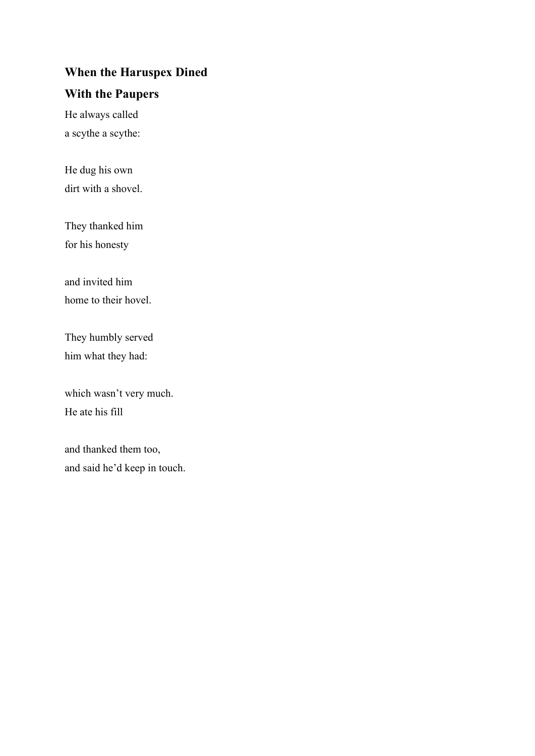## **When the Haruspex Dined**

### **With the Paupers**

He always called a scythe a scythe:

He dug his own dirt with a shovel.

They thanked him for his honesty

and invited him home to their hovel.

They humbly served him what they had:

which wasn't very much. He ate his fill

and thanked them too, and said he'd keep in touch.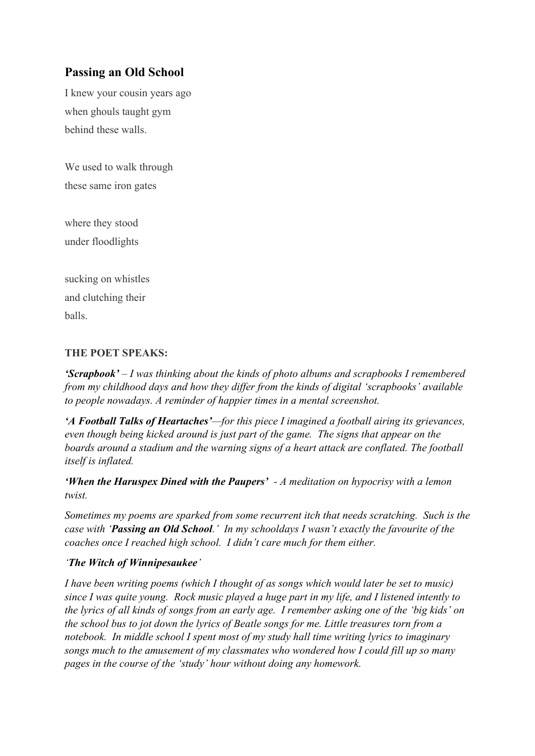# **Passing an Old School**

I knew your cousin years ago when ghouls taught gym behind these walls.

We used to walk through these same iron gates

where they stood under floodlights

sucking on whistles and clutching their balls.

#### **THE POET SPEAKS:**

*'Scrapbook' – I was thinking about the kinds of photo albums and scrapbooks I remembered from my childhood days and how they differ from the kinds of digital 'scrapbooks' available to people nowadays. A reminder of happier times in a mental screenshot.*

*'A Football Talks of Heartaches'—for this piece I imagined a football airing its grievances, even though being kicked around is just part of the game. The signs that appear on the boards around a stadium and the warning signs of a heart attack are conflated. The football itself is inflated.*

*'When the Haruspex Dined with the Paupers' - A meditation on hypocrisy with a lemon twist.*

*Sometimes my poems are sparked from some recurrent itch that needs scratching. Such is the case with 'Passing an Old School.' In my schooldays I wasn't exactly the favourite of the coaches once I reached high school. I didn't care much for them either.* 

#### *'The Witch of Winnipesaukee'*

*I have been writing poems (which I thought of as songs which would later be set to music) since I was quite young. Rock music played a huge part in my life, and I listened intently to the lyrics of all kinds of songs from an early age. I remember asking one of the 'big kids' on the school bus to jot down the lyrics of Beatle songs for me. Little treasures torn from a notebook. In middle school I spent most of my study hall time writing lyrics to imaginary songs much to the amusement of my classmates who wondered how I could fill up so many pages in the course of the 'study' hour without doing any homework.*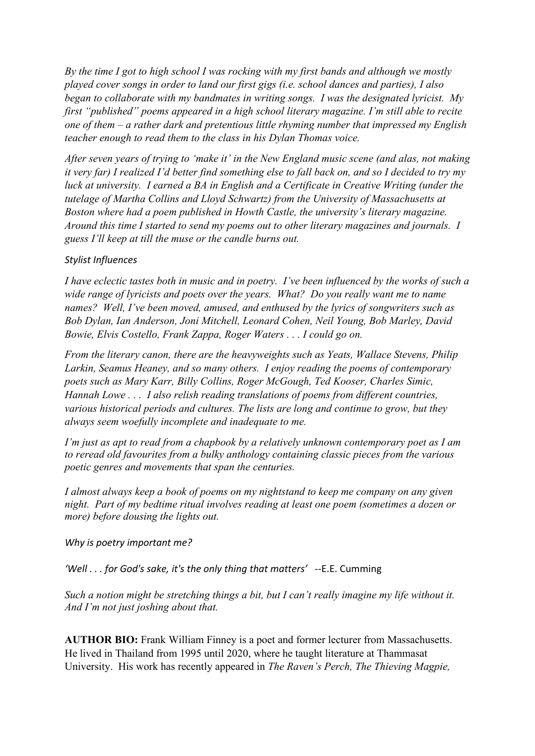*By the time I got to high school I was rocking with my first bands and although we mostly played cover songs in order to land our first gigs (i.e. school dances and parties), I also began to collaborate with my bandmates in writing songs. I was the designated lyricist. My first "published" poems appeared in a high school literary magazine. I'm still able to recite one of them – a rather dark and pretentious little rhyming number that impressed my English teacher enough to read them to the class in his Dylan Thomas voice.*

*After seven years of trying to 'make it' in the New England music scene (and alas, not making it very far) I realized I'd better find something else to fall back on, and so I decided to try my luck at university. I earned a BA in English and a Certificate in Creative Writing (under the tutelage of Martha Collins and Lloyd Schwartz) from the University of Massachusetts at Boston where had a poem published in Howth Castle, the university's literary magazine. Around this time I started to send my poems out to other literary magazines and journals. I guess I'll keep at till the muse or the candle burns out.*

#### *Stylist Influences*

*I have eclectic tastes both in music and in poetry. I've been influenced by the works of such a wide range of lyricists and poets over the years. What? Do you really want me to name names? Well, I've been moved, amused, and enthused by the lyrics of songwriters such as Bob Dylan, Ian Anderson, Joni Mitchell, Leonard Cohen, Neil Young, Bob Marley, David Bowie, Elvis Costello, Frank Zappa, Roger Waters . . . I could go on.* 

*From the literary canon, there are the heavyweights such as Yeats, Wallace Stevens, Philip Larkin, Seamus Heaney, and so many others. I enjoy reading the poems of contemporary poets such as Mary Karr, Billy Collins, Roger McGough, Ted Kooser, Charles Simic, Hannah Lowe . . . I also relish reading translations of poems from different countries, various historical periods and cultures. The lists are long and continue to grow, but they always seem woefully incomplete and inadequate to me.* 

*I'm just as apt to read from a chapbook by a relatively unknown contemporary poet as I am to reread old favourites from a bulky anthology containing classic pieces from the various poetic genres and movements that span the centuries.*

*I almost always keep a book of poems on my nightstand to keep me company on any given night. Part of my bedtime ritual involves reading at least one poem (sometimes a dozen or more) before dousing the lights out.* 

#### *Why is poetry important me?*

*'Well . . . for God's sake, it's the only thing that matters'* --E.E. Cumming

*Such a notion might be stretching things a bit, but I can't really imagine my life without it. And I'm not just joshing about that.*

**AUTHOR BIO:** Frank William Finney is a poet and former lecturer from Massachusetts. He lived in Thailand from 1995 until 2020, where he taught literature at Thammasat University. His work has recently appeared in *The Raven's Perch, The Thieving Magpie,*